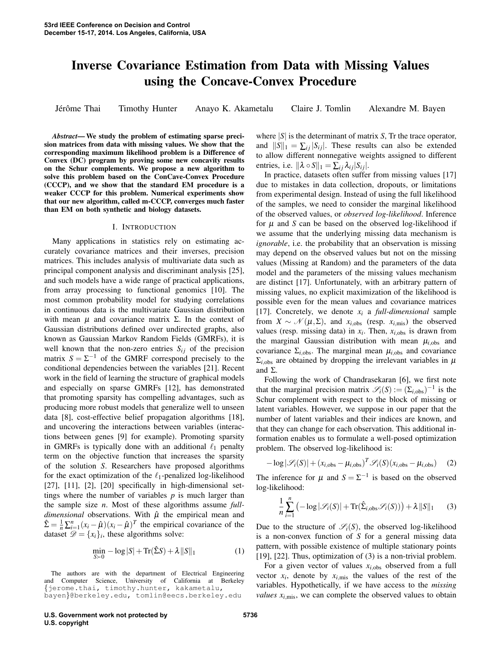# Inverse Covariance Estimation from Data with Missing Values using the Concave-Convex Procedure

Jérôme Thai Timothy Hunter Anayo K. Akametalu Claire J. Tomlin Alexandre M. Bayen

*Abstract*— We study the problem of estimating sparse precision matrices from data with missing values. We show that the corresponding maximum likelihood problem is a Difference of Convex (DC) program by proving some new concavity results on the Schur complements. We propose a new algorithm to solve this problem based on the ConCave-Convex Procedure (CCCP), and we show that the standard EM procedure is a weaker CCCP for this problem. Numerical experiments show that our new algorithm, called m-CCCP, converges much faster than EM on both synthetic and biology datasets.

#### I. INTRODUCTION

Many applications in statistics rely on estimating accurately covariance matrices and their inverses, precision matrices. This includes analysis of multivariate data such as principal component analysis and discriminant analysis [25], and such models have a wide range of practical applications, from array processing to functional genomics [10]. The most common probability model for studying correlations in continuous data is the multivariate Gaussian distribution with mean  $\mu$  and covariance matrix  $\Sigma$ . In the context of Gaussian distributions defined over undirected graphs, also known as Gaussian Markov Random Fields (GMRFs), it is well known that the non-zero entries  $S_{ij}$  of the precision matrix  $S = \Sigma^{-1}$  of the GMRF correspond precisely to the conditional dependencies between the variables [21]. Recent work in the field of learning the structure of graphical models and especially on sparse GMRFs [12], has demonstrated that promoting sparsity has compelling advantages, such as producing more robust models that generalize well to unseen data [8], cost-effective belief propagation algorithms [18], and uncovering the interactions between variables (interactions between genes [9] for example). Promoting sparsity in GMRFs is typically done with an additional  $\ell_1$  penalty term on the objective function that increases the sparsity of the solution *S*. Researchers have proposed algorithms for the exact optimization of the  $\ell_1$ -penalized log-likelihood [27], [11], [2], [20] specifically in high-dimensional settings where the number of variables *p* is much larger than the sample size *n*. Most of these algorithms assume *fulldimensional* observations. With  $\hat{\mu}$  the empirical mean and  $\hat{\Sigma} = \frac{1}{n} \sum_{i=1}^{n} (x_i - \hat{\mu})(x_i - \hat{\mu})^T$  the empirical covariance of the dataset  $\mathcal{D} = \{x_i\}_i$ , these algorithms solve:

$$
\min_{S \succ 0} -\log |S| + \text{Tr}(\hat{\Sigma}S) + \lambda ||S||_1 \tag{1}
$$

The authors are with the department of Electrical Engineering and Computer Science, University of California at Berkeley {jerome.thai, timothy.hunter, kakametalu, bayen}@berkeley.edu, tomlin@eecs.berkeley.edu

where |*S*| is the determinant of matrix *S*, Tr the trace operator, and  $||S||_1 = \sum_{i} |S_{i}||$ . These results can also be extended to allow different nonnegative weights assigned to different entries, i.e.  $\|\lambda \circ S\|_1 = \sum_{ij} \lambda_{ij} |S_{ij}|.$ 

In practice, datasets often suffer from missing values [17] due to mistakes in data collection, dropouts, or limitations from experimental design. Instead of using the full likelihood of the samples, we need to consider the marginal likelihood of the observed values, or *observed log-likelihood*. Inference for  $\mu$  and  $S$  can be based on the observed log-likelihood if we assume that the underlying missing data mechanism is *ignorable*, i.e. the probability that an observation is missing may depend on the observed values but not on the missing values (Missing at Random) and the parameters of the data model and the parameters of the missing values mechanism are distinct [17]. Unfortunately, with an arbitrary pattern of missing values, no explicit maximization of the likelihood is possible even for the mean values and covariance matrices [17]. Concretely, we denote  $x_i$  a *full-dimensional* sample from  $X \sim \mathcal{N}(\mu, \Sigma)$ , and  $x_{i,obs}$  (resp.  $x_{i,mis}$ ) the observed values (resp. missing data) in  $x_i$ . Then,  $x_{i,obs}$  is drawn from the marginal Gaussian distribution with mean  $\mu_{i,obs}$  and covariance  $\Sigma_{i,obs}$ . The marginal mean  $\mu_{i,obs}$  and covariance  $\Sigma_{i,obs}$  are obtained by dropping the irrelevant variables in  $\mu$ and Σ.

Following the work of Chandrasekaran [6], we first note that the marginal precision matrix  $\mathscr{S}_i(S) := (\Sigma_{i,obs})^{-1}$  is the Schur complement with respect to the block of missing or latent variables. However, we suppose in our paper that the number of latent variables and their indices are known, and that they can change for each observation. This additional information enables us to formulate a well-posed optimization problem. The observed log-likelihood is:

$$
-\log|\mathcal{S}_i(S)| + (x_{i,\text{obs}} - \mu_{i,\text{obs}})^T \mathcal{S}_i(S)(x_{i,\text{obs}} - \mu_{i,\text{obs}})
$$
 (2)

The inference for  $\mu$  and  $S = \Sigma^{-1}$  is based on the observed log-likelihood:

$$
\frac{1}{n}\sum_{i=1}^{n} \left(-\log|\mathcal{S}_i(S)| + \text{Tr}(\hat{\Sigma}_{i,\text{obs}}\mathcal{S}_i(S))\right) + \lambda ||S||_1 \qquad (3)
$$

Due to the structure of  $\mathscr{S}_i(S)$ , the observed log-likelihood is a non-convex function of *S* for a general missing data pattern, with possible existence of multiple stationary points [19], [22]. Thus, optimization of (3) is a non-trivial problem.

For a given vector of values  $x_{i,obs}$  observed from a full vector  $x_i$ , denote by  $x_{i,\text{mis}}$  the values of the rest of the variables. Hypothetically, if we have access to the *missing values*  $x_{i,\text{mis}}$ , we can complete the observed values to obtain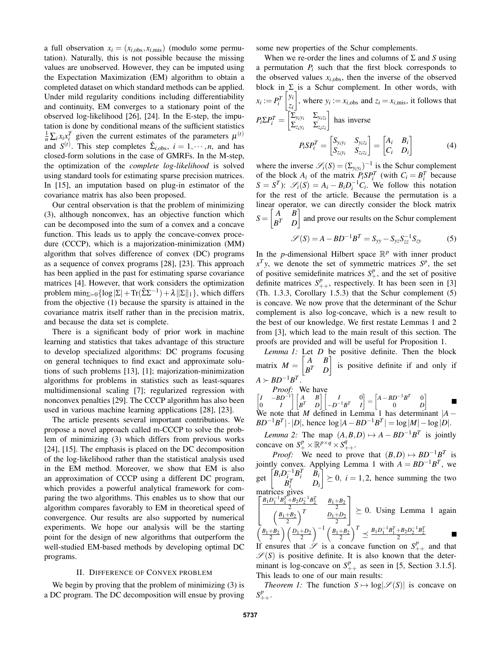a full observation  $x_i = (x_{i,obs}, x_{i,mis})$  (modulo some permutation). Naturally, this is not possible because the missing values are unobserved. However, they can be imputed using the Expectation Maximization (EM) algorithm to obtain a completed dataset on which standard methods can be applied. Under mild regularity conditions including differentiability and continuity, EM converges to a stationary point of the observed log-likelihood [26], [24]. In the E-step, the imputation is done by conditional means of the sufficient statistics  $\frac{1}{n} \sum_{i} x_i x_i^T$  given the current estimates of the parameters  $\mu^{(t)}$ and  $S^{(t)}$ . This step completes  $\hat{\Sigma}_{i,obs}$ ,  $i = 1, \dots, n$ , and has closed-form solutions in the case of GMRFs. In the M-step, the optimization of the *complete log-likelihood* is solved using standard tools for estimating sparse precision matrices. In [15], an imputation based on plug-in estimator of the covariance matrix has also been proposed.

Our central observation is that the problem of minimizing (3), although nonconvex, has an objective function which can be decomposed into the sum of a convex and a concave function. This leads us to apply the concave-convex procedure (CCCP), which is a majorization-minimization (MM) algorithm that solves difference of convex (DC) programs as a sequence of convex programs [28], [23]. This approach has been applied in the past for estimating sparse covariance matrices [4]. However, that work considers the optimization problem  $\min_{\Sigma \succ 0} {\log |\Sigma| + \text{Tr}(\hat{\Sigma} \Sigma^{-1}) + \lambda ||\Sigma||_1}$ , which differs from the objective (1) because the sparsity is attained in the covariance matrix itself rather than in the precision matrix, and because the data set is complete.

There is a significant body of prior work in machine learning and statistics that takes advantage of this structure to develop specialized algorithms: DC programs focusing on general techniques to find exact and approximate solutions of such problems [13], [1]; majorization-minimization algorithms for problems in statistics such as least-squares multidimensional scaling [7]; regularized regression with nonconvex penalties [29]. The CCCP algorithm has also been used in various machine learning applications [28], [23].

The article presents several important contributions. We propose a novel approach called m-CCCP to solve the problem of minimizing (3) which differs from previous works [24], [15]. The emphasis is placed on the DC decomposition of the log-likelihood rather than the statistical analysis used in the EM method. Moreover, we show that EM is also an approximation of CCCP using a different DC program, which provides a powerful analytical framework for comparing the two algorithms. This enables us to show that our algorithm compares favorably to EM in theoretical speed of convergence. Our results are also supported by numerical experiments. We hope our analysis will be the starting point for the design of new algorithms that outperform the well-studied EM-based methods by developing optimal DC programs.

## II. DIFFERENCE OF CONVEX PROBLEM

We begin by proving that the problem of minimizing (3) is a DC program. The DC decomposition will ensue by proving some new properties of the Schur complements.

When we re-order the lines and columns of Σ and *S* using a permutation  $P_i$  such that the first block corresponds to the observed values  $x_{i,obs}$ , then the inverse of the observed block in  $\Sigma$  is a Schur complement. In other words, with  $x_i := P_i^T$  $y_i$ *zi* , where  $y_i := x_{i,obs}$  and  $z_i = x_{i,mis}$ , it follows that  $P_i \Sigma P_i^T = \begin{bmatrix} \overline{\Sigma}_{y_i y_i} & \Sigma_{y_i z_i} \ \overline{\Sigma}_{y_i y_i} & \overline{\Sigma}_{y_i z_i} \end{bmatrix}$  $\Sigma_{z_i y_i}$  Σ<sub>*zi*</sub>*zi* has inverse  $P_i$ *S* $P_i^T = \begin{bmatrix} S_{y_i y_i} & S_{y_i z_i} \ S & S \end{bmatrix}$  $S_{z_i y_i}$   $S_{z_i z_i}$  $\begin{bmatrix} A_i & B_i \ C & D_i \end{bmatrix}$ *C<sup>i</sup> D<sup>i</sup>* 1 (4)

where the inverse  $\mathscr{S}_i(S) = (\Sigma_{y_i y_i})^{-1}$  is the Schur complement of the block  $A_i$  of the matrix  $P_i S P_i^T$  (with  $C_i = B_i^T$  because  $S = S^T$ :  $\mathscr{S}_i(S) = A_i - B_i D_i^{-1} C_i$ . We follow this notation for the rest of the article. Because the permutation is a linear operator, we can directly consider the block matrix  $S = \begin{bmatrix} A & B \\ nT & D \end{bmatrix}$ *B <sup>T</sup> D* and prove our results on the Schur complement

$$
\mathscr{S}(S) = A - BD^{-1}B^{T} = S_{yy} - S_{yz}S_{zz}^{-1}S_{zy}
$$
 (5)

In the *p*-dimensional Hilbert space  $\mathbb{R}^p$  with inner product  $x^T y$ , we denote the set of symmetric matrices  $S^p$ , the set of positive semidefinite matrices  $S_{+}^{p}$ , and the set of positive definite matrices  $S_{++}^p$ , respectively. It has been seen in [3] (Th. 1.3.3, Corollary 1.5.3) that the Schur complement (5) is concave. We now prove that the determinant of the Schur complement is also log-concave, which is a new result to the best of our knowledge. We first restate Lemmas 1 and 2 from [3], which lead to the main result of this section. The proofs are provided and will be useful for Proposition 1.

*Lemma 1:* Let *D* be positive definite. Then the block matrix  $M = \begin{bmatrix} A & B \\ B^T & D \end{bmatrix}$ *B <sup>T</sup> D*  $\int$  is positive definite if and only if  $A \succ BD^{-1}B^T$ .

*Proof:* We have  
\n
$$
\begin{bmatrix} I & -BD^{-1} \\ 0 & I \end{bmatrix} \begin{bmatrix} A & B \\ B^T & D \end{bmatrix} \begin{bmatrix} I & 0 \\ -D^{-1}B^T & I \end{bmatrix} = \begin{bmatrix} A - BD^{-1}B^T & 0 \\ 0 & D \end{bmatrix}
$$
\nWe note that *M* defined in Lemma 1 has determinant  $|A - BD^{-1}B^T|$ .

 $BD^{-1}B^{T}$  | · |*D*|, hence  $\log |A - BD^{-1}B^{T}| = \log |M| - \log |D|$ .

*Lemma 2:* The map  $(A, B, D) \mapsto A - BD^{-1}B^{T}$  is jointly concave on  $S^p_+ \times \mathbb{R}^{p \times q} \times S^q_{++}$ .

*Proof:* We need to prove that  $(B,D) \mapsto BD^{-1}B^T$  is jointly convex. Applying Lemma 1 with  $A = BD^{-1}B^{T}$ , we get  $\begin{bmatrix} B_i D_i^{-1} B_i^T & B_i \\ p_i^T & D_i \end{bmatrix}$  $B_i^T$  *D*<sup>*i*</sup>  $\bigg\} \geq 0, i = 1, 2$ , hence summing the two matrices gives

$$
\left[\frac{\frac{B_1D_1^{-1}B_1^{T} + B_2D_2^{-1}B_2^{T}}{2}}{\left(\frac{B_1+B_2}{2}\right)^T} \right] \ge 0. \text{ Using Lemma 1 again}
$$
\n
$$
\left(\frac{B_1+B_2}{2}\right) \left(\frac{D_1+D_2}{2}\right)^{-1} \left(\frac{B_1+B_2}{2}\right)^T \preceq \frac{B_1D_1^{-1}B_1^{T} + B_2D_2^{-1}B_2^{T}}{2}
$$

If ensures that  $\mathscr S$  is a concave function on  $S^p_{++}$  and that  $\mathscr{S}(S)$  is positive definite. It is also known that the determinant is log-concave on  $S_{++}^p$  as seen in [5, Section 3.1.5]. This leads to one of our main results:

*Theorem 1:* The function  $S \mapsto \log |\mathcal{S}(S)|$  is concave on  $S^{p}_{++}$ .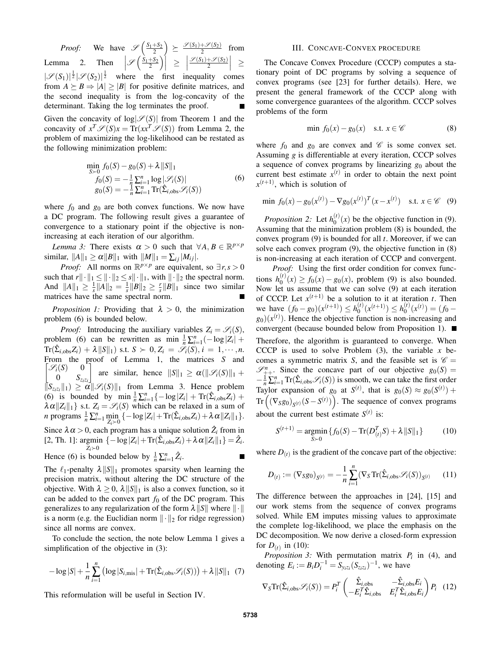*Proof:* We have  $\mathscr{S}\left(\frac{S_1+S_2}{2}\right) \geq \frac{\mathscr{S}(S_1)+\mathscr{S}(S_2)}{2}$  from Lemma 2. Then  $\left|\mathscr{S}\left(\frac{\dot{S}_1+S_2}{2}\right)\right| \geq$  $\frac{\mathscr{S}(S_1)+\mathscr{S}(S_2)}{2}\Big|$   $\geq$  $|\mathscr{S}(S_1)|^{\frac{1}{2}}|\mathscr{S}(S_2)|^{\frac{1}{2}}$  where the first inequality comes from  $A \succeq B \Rightarrow |A| > |B|$  for positive definite matrices, and the second inequality is from the log-concavity of the determinant. Taking the log terminates the proof.

Given the concavity of  $log|\mathscr{S}(S)|$  from Theorem 1 and the concavity of  $x^T \mathscr{S}(S) x = \text{Tr}(xx^T \mathscr{S}(S))$  from Lemma 2, the problem of maximizing the log-likelihood can be restated as the following minimization problem:

$$
\min_{S>0} f_0(S) - g_0(S) + \lambda ||S||_1
$$
\n
$$
f_0(S) = -\frac{1}{\eta} \sum_{i=1}^n \log |\mathcal{S}_i(S)|
$$
\n
$$
g_0(S) = -\frac{1}{\eta} \sum_{i=1}^n \text{Tr}(\hat{\Sigma}_{i,\text{obs}} \mathcal{S}_i(S))
$$
\n(6)

where  $f_0$  and  $g_0$  are both convex functions. We now have a DC program. The following result gives a guarantee of convergence to a stationary point if the objective is nonincreasing at each iteration of our algorithm.

*Lemma 3:* There exists  $\alpha > 0$  such that  $\forall A, B \in \mathbb{R}^{p \times p}$ similar,  $||A||_1 \ge \alpha ||B||_1$  with  $||M||_1 = \sum_{i} |M_{ij}|$ .

*Proof:* All norms on  $\mathbb{R}^{p \times p}$  are equivalent, so  $\exists r, s > 0$ such that  $r\|\cdot\|_1 \leq \|\cdot\|_2 \leq s\|\cdot\|_1$ , with  $\|\cdot\|_2$  the spectral norm. And  $||A||_1 \ge \frac{1}{s} ||A||_2 = \frac{1}{s} ||B||_2 \ge \frac{r}{s} ||B||_1$  since two similar matrices have the same spectral norm.

*Proposition 1:* Providing that  $\lambda > 0$ , the minimization problem (6) is bounded below.

*Proof:* Introducing the auxiliary variables  $Z_i = \mathcal{S}_i(S)$ , problem (6) can be rewritten as min  $\frac{1}{n} \sum_{i=1}^{n} (-\log |Z_i| +$  $\text{Tr}(\hat{\Sigma}_{i, \text{obs}} Z_i) + \lambda ||S||_1$ ) s.t.  $S \succ 0, Z_i = \mathcal{\ddot{S}}_i(S), i = 1, \cdots, n$ . From the proof of Lemma 1, the matrices *S* and  $\lceil \mathcal{S}_i(S) \rceil$  1  $\mathscr{S}_i(S) = 0$  $0 \int_{z_i z_i}$ are similar, hence  $||S||_1 \ge \alpha(||\mathcal{S}_i(S)||_1 +$  $\|S_{z_iz_i}\|_1 \ge \alpha \|\mathscr{S}_i(S)\|_1$  from Lemma 3. Hence problem (6) is bounded by  $\min_{i} \frac{1}{n} \sum_{i=1}^{n} \{-\log |Z_i| + \text{Tr}(\hat{\Sigma}_{i,obs} Z_i) +$  $\lambda \alpha ||Z_i||_1$  s.t.  $Z_i = \mathcal{S}_i(S)$  which can be relaxed in a sum of *n* programs  $\frac{1}{n} \sum_{i=1}^{n} \min_{Z_i > 0} \{-\log |Z_i| + \text{Tr}(\hat{\Sigma}_{i,obs} Z_i) + \lambda \alpha ||Z_i||_1\}.$ Since  $\lambda \alpha > 0$ , each program has a unique solution  $\hat{Z}_i$  from in  $[2, Th. 1]$ : argmin  $\{-\log |Z_i| + \text{Tr}(\hat{\Sigma}_{i,obs}Z_i) + \lambda \alpha ||Z_i||_1\} = \hat{Z}_i$ .  $Z_i$  $\succ$ 0 Hence (6) is bounded below by  $\frac{1}{n} \sum_{i=1}^{n} \hat{Z}_i$ .

The  $\ell_1$ -penalty  $\lambda \|S\|_1$  promotes sparsity when learning the precision matrix, without altering the DC structure of the objective. With  $\lambda \geq 0$ ,  $\lambda ||S||_1$  is also a convex function, so it can be added to the convex part  $f_0$  of the DC program. This generalizes to any regularization of the form  $\lambda ||S||$  where  $|| \cdot ||$ is a norm (e.g. the Euclidian norm  $\|\cdot\|_2$  for ridge regression) since all norms are convex.

To conclude the section, the note below Lemma 1 gives a simplification of the objective in  $(3)$ :

$$
-\log|S| + \frac{1}{n}\sum_{i=1}^{n} \left( \log|S_{i,\text{mis}}| + \text{Tr}(\hat{\Sigma}_{i,\text{obs}}\mathscr{S}_i(S)) \right) + \lambda ||S||_1 \quad (7)
$$

This reformulation will be useful in Section IV.

# III. CONCAVE-CONVEX PROCEDURE

The Concave Convex Procedure (CCCP) computes a stationary point of DC programs by solving a sequence of convex programs (see [23] for further details). Here, we present the general framework of the CCCP along with some convergence guarantees of the algorithm. CCCP solves problems of the form

$$
\min f_0(x) - g_0(x) \quad \text{s.t. } x \in \mathscr{C} \tag{8}
$$

where  $f_0$  and  $g_0$  are convex and  $\mathscr C$  is some convex set. Assuming *g* is differentiable at every iteration, CCCP solves a sequence of convex programs by linearizing *g*<sup>0</sup> about the current best estimate  $x^{(t)}$  in order to obtain the next point  $x^{(t+1)}$ , which is solution of

$$
\min f_0(x) - g_0(x^{(t)}) - \nabla g_0(x^{(t)})^T (x - x^{(t)}) \quad \text{s.t. } x \in \mathscr{C} \quad (9)
$$

*Proposition 2:* Let  $h_0^{(t)}$  $\binom{0}{0}(x)$  be the objective function in (9). Assuming that the minimization problem (8) is bounded, the convex program (9) is bounded for all *t*. Moreover, if we can solve each convex program (9), the objective function in (8) is non-increasing at each iteration of CCCP and convergent.

*Proof:* Using the first order condition for convex functions  $h_0^{(t)}$  $f_0^{(t)}(x) \ge f_0(x) - g_0(x)$ , problem (9) is also bounded. Now let us assume that we can solve (9) at each iteration of CCCP. Let  $x^{(t+1)}$  be a solution to it at iteration *t*. Then we have  $(f_0 - g_0)(x^{(t+1)}) \leq h_0^{(t)}$  $b_0^{(t)}(x^{(t+1)}) \leq h_0^{(t)}$  $\binom{t}{0}(x^{(t)}) = (f_0$  $g_0(x^{(t)})$ . Hence the objective function is non-increasing and convergent (because bounded below from Proposition 1). Therefore, the algorithm is guaranteed to converge. When CCCP is used to solve Problem  $(3)$ , the variable *x* becomes a symmetric matrix *S*, and the feasible set is  $\mathcal{C} =$  $\mathscr{S}_{++}^n$ . Since the concave part of our objective  $g_0(S)$  =  $-\frac{1}{n}\sum_{i=1}^n \text{Tr}(\hat{\Sigma}_{i,\text{obs}}\mathcal{S}_i(S))$  is smooth, we can take the first order Taylor expansion of  $g_0$  at  $S^{(t)}$ , that is  $g_0(S) \approx g_0(S^{(t)}) +$  $Tr\left((\nabla_S g_0)_{S^{(t)}}(S - S^{(t)})\right)$ . The sequence of convex programs about the current best estimate  $S^{(t)}$  is:

$$
S^{(t+1)} = \underset{S \succ 0}{\text{argmin}} \left\{ f_0(S) - \text{Tr}(D_{(t)}^T S) + \lambda ||S||_1 \right\} \tag{10}
$$

where  $D_{(t)}$  is the gradient of the concave part of the objective:

$$
D_{(t)} := (\nabla_S g_0)_{S^{(t)}} = -\frac{1}{n} \sum_{i=1}^n (\nabla_S \text{Tr}(\hat{\Sigma}_{i,\text{obs}} \mathcal{S}_i(S))_{S^{(t)}} \qquad (11)
$$

The difference between the approaches in [24], [15] and our work stems from the sequence of convex programs solved. While EM imputes missing values to approximate the complete log-likelihood, we place the emphasis on the DC decomposition. We now derive a closed-form expression for  $D_{(t)}$  in (10):

*Proposition 3:* With permutation matrix  $P_i$  in (4), and denoting  $E_i := B_i D_i^{-1} = S_{y_i z_i} (S_{z_i z_i})^{-1}$ , we have

$$
\nabla_{S} \text{Tr}(\hat{\Sigma}_{i,\text{obs}} \mathscr{S}_{i}(S)) = P_{i}^{T} \begin{pmatrix} \hat{\Sigma}_{i,\text{obs}} & -\hat{\Sigma}_{i,\text{obs}} E_{i} \\ -E_{i}^{T} \hat{\Sigma}_{i,\text{obs}} & E_{i}^{T} \hat{\Sigma}_{i,\text{obs}} E_{i} \end{pmatrix} P_{i} \quad (12)
$$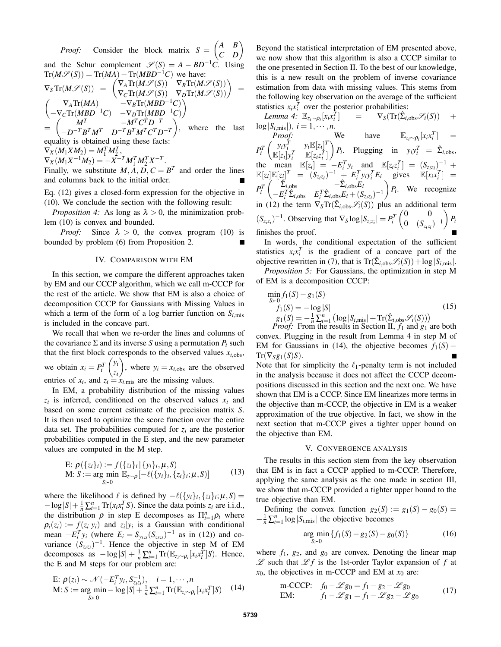*Proof:* Consider the block matrix  $S = \begin{pmatrix} A & B \\ C & D \end{pmatrix}$ and the Schur complement  $\mathscr{S}(S) = A - BD^{-1}C$ . Using  $Tr(M\mathscr{S}(S)) = Tr(MA) - Tr(MBD^{-1}C)$  we have:

$$
\nabla_S \text{Tr}(M\mathscr{S}(S)) = \begin{pmatrix} \nabla_A \text{Tr}(M\mathscr{S}(S)) & \nabla_B \text{Tr}(M\mathscr{S}(S)) \\ \nabla_C \text{Tr}(M\mathscr{S}(S)) & \nabla_D \text{Tr}(M\mathscr{S}(S)) \end{pmatrix} = \begin{pmatrix} \nabla_A \text{Tr}(M\mathscr{S}(S)) & \nabla_B \text{Tr}(M\mathscr{S}(S)) \\ -\nabla_C \text{Tr}(MBD^{-1}C) & -\nabla_D \text{Tr}(MBD^{-1}C) \end{pmatrix} = \begin{pmatrix} M^T & -M^T C^T D^{-T} \\ -D^{-T} B^T M^T & D^{-T} B^T M^T C^T D^{-T} \end{pmatrix}
$$
, where the last equality is obtained using these facts:

 $\nabla_X(M_1XM_2) = M_1^TM_2^T,$ 

 $\nabla_X (M_1 X^{-1} M_2) = -X^{-T} M_1^T M_2^T X^{-T}.$ 

Finally, we substitute  $M$ ,  $\overline{A}$ ,  $\overline{D}$ ,  $C = B^T$ and order the lines and columns back to the initial order.

Eq. (12) gives a closed-form expression for the objective in (10). We conclude the section with the following result:

*Proposition 4:* As long as  $\lambda > 0$ , the minimization problem (10) is convex and bounded.

*Proof:* Since  $\lambda > 0$ , the convex program (10) is bounded by problem (6) from Proposition 2.  $\blacksquare$ 

### IV. COMPARISON WITH EM

In this section, we compare the different approaches taken by EM and our CCCP algorithm, which we call m-CCCP for the rest of the article. We show that EM is also a choice of decomposition CCCP for Gaussians with Missing Values in which a term of the form of a log barrier function on  $S_{i,\text{mis}}$ is included in the concave part.

We recall that when we re-order the lines and columns of the covariance  $\Sigma$  and its inverse *S* using a permutation  $P_i$  such that the first block corresponds to the observed values  $x_{i,obs}$ , we obtain  $x_i = P_i^T$  $\int y_i$ *zi* ), where  $y_i = x_{i,obs}$  are the observed entries of  $x_i$ , and  $z_i = x_{i,\text{mis}}$  are the missing values.

In EM, a probability distribution of the missing values  $z_i$  is inferred, conditioned on the observed values  $x_i$  and based on some current estimate of the precision matrix *S*. It is then used to optimize the score function over the entire data set. The probabilities computed for  $z_i$  are the posterior probabilities computed in the E step, and the new parameter values are computed in the M step.

E: 
$$
\rho({z_i}_i) := f({z_i}_i | {y_i}_i, \mu, S)
$$
  
\nM:  $S := \arg \min_{S > 0} \mathbb{E}_{z \sim \rho}[-\ell({y_i}_i, {z_i}_i; \mu, S)]$  (13)

where the likelihood  $\ell$  is defined by  $-\ell({y_i}_i)_i$ ,  ${z_i}_i$ ;  $\mu$ , *S*) =  $-\log|S| + \frac{1}{n} \sum_{i=1}^{n} \text{Tr}(x_i x_i^T S)$ . Since the data points *z<sub>i</sub>* are i.i.d., the distribution  $\rho$  in step E decomposes as  $\prod_{i=1}^{n} \rho_i$  where  $\rho_i(z_i) := f(z_i|y_i)$  and  $z_i|y_i$  is a Gaussian with conditional mean  $-E_i^T y_i$  (where  $E_i = S_{y_i z_i} (S_{z_i z_i})^{-1}$  as in (12)) and covariance  $(S_{z_iz_i})^{-1}$ . Hence the objective in step M of EM decomposes as  $-\log|S| + \frac{1}{n} \sum_{i=1}^{n} \text{Tr}(\mathbb{E}_{z_i \sim \rho_i}[x_i x_i^{\hat{T}}]S)$ . Hence, the E and M steps for our problem are:

E: 
$$
\rho(z_i) \sim \mathcal{N}(-E_i^T y_i, S_{z_i z_i}^{-1}), \quad i = 1, \cdots, n
$$
  
M:  $S := \underset{S \succ 0}{\arg \min} -\log |S| + \frac{1}{n} \sum_{i=1}^n \text{Tr}(\mathbb{E}_{z_i \sim \rho_i}[x_i x_i^T] S)$  (14)

Beyond the statistical interpretation of EM presented above, we now show that this algorithm is also a CCCP similar to the one presented in Section II. To the best of our knowledge, this is a new result on the problem of inverse covariance estimation from data with missing values. This stems from the following key observation on the average of the sufficient statistics  $x_i x_i^T$  over the posterior probabilities:

 $Lemma 4: \mathbb{E}_{z_i \sim \rho_i}[x_i x_i^{\overline{T}}]$  $]$  =  $\nabla_S(\text{Tr}(\hat{\Sigma}_{i,obs}\mathscr{S}_i(S)) +$  $log|S_{i,\text{mis}}|$ ,  $i = 1, \dots, n$ . *Proof:* We have  $\mathbb{E}_{z_i \sim \rho_i}[x_i x_i^T] =$  $P_i^T$ *i*  $\int y_i y_i^T y_i E[z_i]^T$  $\mathbb{E}[z_i]y_i^T$   $\mathbb{E}[z_i z_i^T]$  $\left(P_i\right)$ . Plugging in  $y_i y_i^T = \hat{\Sigma}_{i,obs}$ , the mean  $\mathbb{E}[z_i] = -E_i^T y_i$  and  $\mathbb{E}[z_i z_i^T] = (S_{z_i z_i})^{-1}$  +  $\mathbb{E}[z_i]\mathbb{E}[z_j]^T = (S_{z_i z_i})^{-1} + E_i^T y_i y_i^T E_i$  gives  $\mathbb{E}[x_i x_i^T] =$  $P_i^T$  $\int \hat{\Sigma}_{i,obs} = -\hat{\Sigma}_{i,obs} E_i$  $-E_i^T \hat{\Sigma}_{i,obs}$   $E_i^T \hat{\Sigma}_{i,obs} E_i + (S_{z_i z_i})^{-1}$  $P_i$ . We recognize in (12) the term  $\nabla_S Tr(\hat{\Sigma}_{i,obs} \mathscr{S}_i(S))$  plus an additional term  $(S_{z_i z_i})^{-1}$ . Observing that  $\nabla_S \log |S_{z_i z_i}| = P_i^T$  $\begin{pmatrix} 0 & 0 \\ 0 & 0 \end{pmatrix}$ 0  $(S_{z_i z_i})^{-1}$  $\bigg\}$   $P_i$ finishes the proof.

In words, the conditional expectation of the sufficient statistics  $x_i x_i^T$  is the gradient of a concave part of the objective rewritten in (7), that is  $\text{Tr}(\hat{\Sigma}_{i,obs} \mathcal{S}_i(S)) + \log |S_{i,mis}|$ .

*Proposition 5:* For Gaussians, the optimization in step M of EM is a decomposition CCCP:

$$
\min_{S>0} f_1(S) - g_1(S)
$$
\n
$$
f_1(S) = -\log |S|
$$
\n
$$
g_1(S) = -\frac{1}{n} \sum_{i=1}^n \left( \log |S_{i,\text{mis}}| + \text{Tr}(\hat{\Sigma}_{i,\text{obs}} \mathcal{S}_i(S)) \right)
$$
\n*Proof:* From the results in Section II,  $f_1$  and  $g_1$  are both

convex. Plugging in the result from Lemma 4 in step M of EM for Gaussians in (14), the objective becomes  $f_1(S)$  –  $Tr(\nabla_S g_1(S)S).$ 

Note that for simplicity the  $\ell_1$ -penalty term is not included in the analysis because it does not affect the CCCP decompositions discussed in this section and the next one. We have shown that EM is a CCCP. Since EM linearizes more terms in the objective than m-CCCP, the objective in EM is a weaker approximation of the true objective. In fact, we show in the next section that m-CCCP gives a tighter upper bound on the objective than EM.

# V. CONVERGENCE ANALYSIS

The results in this section stem from the key observation that EM is in fact a CCCP applied to m-CCCP. Therefore, applying the same analysis as the one made in section III, we show that m-CCCP provided a tighter upper bound to the true objective than EM.

Defining the convex function  $g_2(S) := g_1(S) - g_0(S) =$  $-\frac{1}{n}\sum_{i=1}^{n} \log |S_{i,\text{mis}}|$  the objective becomes

$$
\underset{S \succ 0}{\text{arg min}} \left\{ f_1(S) - g_2(S) - g_0(S) \right\} \tag{16}
$$

where  $f_1$ ,  $g_2$ , and  $g_0$  are convex. Denoting the linear map  $\mathscr L$  such that  $\mathscr L f$  is the 1st-order Taylor expansion of  $f$  at  $x_0$ , the objectives in m-CCCP and EM at  $x_0$  are:

m-CCCP: 
$$
f_0 - \mathcal{L} g_0 = f_1 - g_2 - \mathcal{L} g_0
$$
  
EM:  $f_1 - \mathcal{L} g_1 = f_1 - \mathcal{L} g_2 - \mathcal{L} g_0$  (17)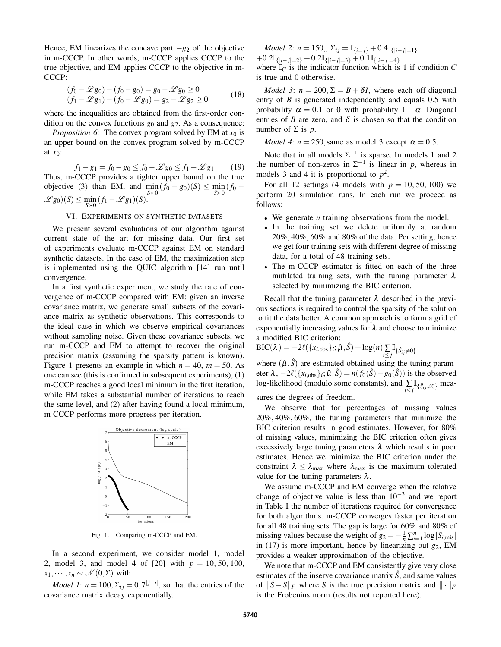Hence, EM linearizes the concave part −*g*<sup>2</sup> of the objective in m-CCCP. In other words, m-CCCP applies CCCP to the true objective, and EM applies CCCP to the objective in m-CCCP:

$$
(f_0 - \mathcal{L}g_0) - (f_0 - g_0) = g_0 - \mathcal{L}g_0 \ge 0
$$
  
(f<sub>1</sub> - \mathcal{L}g<sub>1</sub>) - (f<sub>0</sub> - \mathcal{L}g<sub>0</sub>) = g<sub>2</sub> - \mathcal{L}g<sub>2</sub> \ge 0 (18)

where the inequalities are obtained from the first-order condition on the convex functions  $g_0$  and  $g_2$ . As a consequence:

*Proposition 6:* The convex program solved by EM at  $x_0$  is an upper bound on the convex program solved by m-CCCP at *x*0:

 $f_1 - g_1 = f_0 - g_0 \le f_0 - \mathcal{L} g_0 \le f_1 - \mathcal{L} g_1$  (19) Thus, m-CCCP provides a tighter upper bound on the true objective (3) than EM, and  $\min_{S \succ 0} (f_0 - g_0)(S) \le \min_{S \succ 0} (f_0 - g_0)$  $\mathscr{L}g_0)(S) \le \min_{S\succ 0} (f_1 - \mathscr{L}g_1)(S).$ 

# VI. EXPERIMENTS ON SYNTHETIC DATASETS

We present several evaluations of our algorithm against current state of the art for missing data. Our first set of experiments evaluate m-CCCP against EM on standard synthetic datasets. In the case of EM, the maximization step is implemented using the QUIC algorithm [14] run until convergence.

In a first synthetic experiment, we study the rate of convergence of m-CCCP compared with EM: given an inverse covariance matrix, we generate small subsets of the covariance matrix as synthetic observations. This corresponds to the ideal case in which we observe empirical covariances without sampling noise. Given these covariance subsets, we run m-CCCP and EM to attempt to recover the original precision matrix (assuming the sparsity pattern is known). Figure 1 presents an example in which  $n = 40$ ,  $m = 50$ . As one can see (this is confirmed in subsequent experiments), (1) m-CCCP reaches a good local minimum in the first iteration, while EM takes a substantial number of iterations to reach the same level, and (2) after having found a local minimum, m-CCCP performs more progress per iteration.



Fig. 1. Comparing m-CCCP and EM.

In a second experiment, we consider model 1, model 2, model 3, and model 4 of [20] with *p* = 10, 50, 100,  $x_1, \dots, x_n \sim \mathcal{N}(0, \Sigma)$  with

*Model 1*:  $n = 100$ ,  $\Sigma_{ij} = 0$ ,  $7^{|j-i|}$ , so that the entries of the covariance matrix decay exponentially.

*Model 2*: *n* = 150,  $\Sigma_{ij} = \mathbb{I}_{\{i=i\}} + 0.4\mathbb{I}_{\{|i-i|=1\}}$  $+0.2\mathbb{I}_{\{|i-j|=2\}} +0.2\mathbb{I}_{\{|i-j|=3\}} +0.1\mathbb{I}_{\{|i-j|=4\}}$ 

where  $\mathbb{I}_C$  is the indicator function which is 1 if condition  $C$ is true and 0 otherwise.

*Model 3*:  $n = 200$ ,  $\Sigma = B + \delta I$ , where each off-diagonal entry of *B* is generated independently and equals 0.5 with probability  $\alpha = 0.1$  or 0 with probability  $1 - \alpha$ . Diagonal entries of *B* are zero, and  $\delta$  is chosen so that the condition number of Σ is *p*.

*Model 4*:  $n = 250$ , same as model 3 except  $\alpha = 0.5$ .

Note that in all models  $\Sigma^{-1}$  is sparse. In models 1 and 2 the number of non-zeros in  $\Sigma^{-1}$  is linear in *p*, whereas in models 3 and 4 it is proportional to  $p^2$ .

For all 12 settings (4 models with  $p = 10, 50, 100$ ) we perform 20 simulation runs. In each run we proceed as follows:

- We generate *n* training observations from the model.
- In the training set we delete uniformly at random 20%, 40%, 60% and 80% of the data. Per setting, hence we get four training sets with different degree of missing data, for a total of 48 training sets.
- The m-CCCP estimator is fitted on each of the three mutilated training sets, with the tuning parameter  $\lambda$ selected by minimizing the BIC criterion.

Recall that the tuning parameter  $\lambda$  described in the previous sections is required to control the sparsity of the solution to fit the data better. A common approach is to form a grid of exponentially increasing values for  $\lambda$  and choose to minimize a modified BIC criterion:

$$
\text{BIC}(\lambda) = -2\ell(\{x_{i,\text{obs}}\}_i; \hat{\mu}, \hat{S}) + \log(n) \sum_{i \leq j} \mathbb{I}_{\{\hat{S}_{ij} \neq 0\}}
$$

where  $(\hat{\mu}, \hat{S})$  are estimated obtained using the tuning parameter  $\lambda$ ,  $-2\ell(\{x_{i,obs}\}_i; \hat{\mu}, \hat{S}) = n(f_0(\hat{S}) - g_0(\hat{S}))$  is the observed log-likelihood (modulo some constants), and ∑ *i*≤*j*  $\mathbb{I}_{\{\hat{S}_{ij}\neq 0\}}$  mea-

sures the degrees of freedom.

We observe that for percentages of missing values 20%, 40%, 60%, the tuning parameters that minimize the BIC criterion results in good estimates. However, for 80% of missing values, minimizing the BIC criterion often gives excessively large tuning parameters  $\lambda$  which results in poor estimates. Hence we minimize the BIC criterion under the constraint  $\lambda \leq \lambda_{\text{max}}$  where  $\lambda_{\text{max}}$  is the maximum tolerated value for the tuning parameters  $\lambda$ .

We assume m-CCCP and EM converge when the relative change of objective value is less than  $10^{-3}$  and we report in Table I the number of iterations required for convergence for both algorithms. m-CCCP converges faster per iteration for all 48 training sets. The gap is large for 60% and 80% of missing values because the weight of  $g_2 = -\frac{1}{n} \sum_{i=1}^n \log |S_{i,\text{mis}}|$ in  $(17)$  is more important, hence by linearizing out  $g_2$ , EM provides a weaker approximation of the objective.

We note that m-CCCP and EM consistently give very close estimates of the inserve covariance matrix  $\hat{S}$ , and same values of  $\|\hat{S} - S\|_F$  where *S* is the true precision matrix and  $\|\cdot\|_F$ is the Frobenius norm (results not reported here).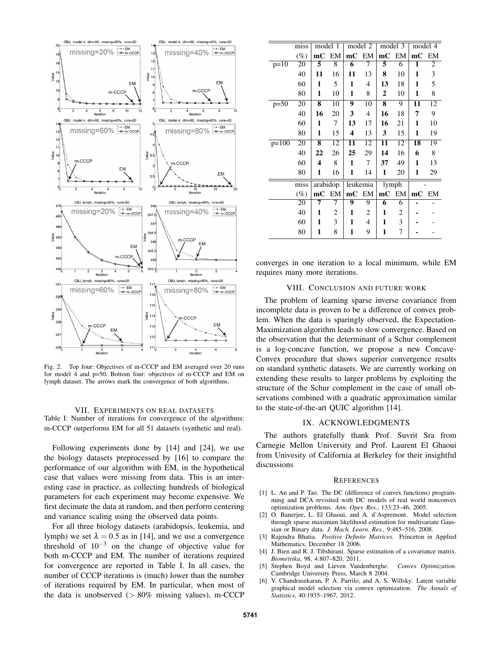

Fig. 2. Top four: Objectives of m-CCCP and EM averaged over 20 runs for model 4 and p=50. Bottom four: objectives of m-CCCP and EM on lymph dataset. The arrows mark the convergence of both algorithms.

# VII. EXPERIMENTS ON REAL DATASETS Table I: Number of iterations for convergence of the algorithms: m-CCCP outperforms EM for all 51 datasets (synthetic and real).

Following experiments done by [14] and [24], we use the biology datasets preprocessed by [16] to compare the performance of our algorithm with EM, in the hypothetical case that values were missing from data. This is an interesting case in practice, as collecting hundreds of biological parameters for each experiment may become expensive. We first decimate the data at random, and then perform centering and variance scaling using the observed data points.

For all three biology datasets (arabidopsis, leukemia, and lymph) we set  $\lambda = 0.5$  as in [14], and we use a convergence threshold of  $10^{-3}$  on the change of objective value for both m-CCCP and EM. The number of iterations required for convergence are reported in Table I. In all cases, the number of CCCP iterations is (much) lower than the number of iterations required by EM. In particular, when most of the data is unobserved  $(> 80\%$  missing values), m-CCCP

|         | miss            | model 1                 |                 | model 2  |                 | model 3 |       | model 4 |    |
|---------|-----------------|-------------------------|-----------------|----------|-----------------|---------|-------|---------|----|
|         | $(\%)$          | mC                      | EM              | mC EM    |                 | mC      | EM    | mC EM   |    |
| $p=10$  | 20              | 5                       | 8               | 6        | 7               | 5       | 6     | 1       | 2  |
|         | 40              | 11                      | 16              | 11       | 13              | 8       | 10    | 1       | 3  |
|         | 60              | 1                       | 5               | 1        | 4               | 13      | 18    | 1       | 5  |
|         | 80              | 1                       | 10              | 1        | 8               | 2       | 10    | 1       | 8  |
| $p=50$  | $\overline{20}$ | 8                       | $\overline{10}$ | 9        | $\overline{10}$ | 8       | 9     | 11      | 12 |
|         | 40              | 16                      | 20              | 3        | 4               | 16      | 18    | 7       | 9  |
|         | 60              | 1                       | 7               | 13       | 17              | 16      | 21    | 1       | 10 |
|         | 80              | 1                       | 15              | 4        | 13              | 3       | 15    | 1       | 19 |
| $p=100$ | 20              | 8                       | 12              | 11       | 12              | 11      | 12    | 18      | 19 |
|         | 40              | 22                      | 26              | 25       | 29              | 14      | 16    | 6       | 8  |
|         | 60              | 4                       | 8               | 1        | 7               | 37      | 49    | 1       | 13 |
|         | 80              | 1                       | 16              | 1        | 14              | 1       | 20    | 1       | 29 |
|         | miss            | arabidop.               |                 | leukemia |                 | lymph   |       |         |    |
|         | $(\%)$          | $\mathbf{m} \mathbf{C}$ | EM              | mC EM    |                 |         | mC EM | mC EM   |    |
|         | 20              | 7                       | 7               | 9        | 9               | 6       | 6     |         |    |
|         | 40              | 1                       | 2               | 1        | 2               | 1       | 2     |         |    |
|         | 60              | 1                       | 3               | 1        | 4               | 1       | 3     |         |    |
|         | 80              | 1                       | 8               | 1        | 9               | 1       | 7     |         |    |

converges in one iteration to a local minimum, while EM requires many more iterations.

## VIII. CONCLUSION AND FUTURE WORK

The problem of learning sparse inverse covariance from incomplete data is proven to be a difference of convex problem. When the data is sparingly observed, the Expectation-Maximization algorithm leads to slow convergence. Based on the observation that the determinant of a Schur complement is a log-concave function, we propose a new Concave-Convex procedure that shows superior convergence results on standard synthetic datasets. We are currently working on extending these results to larger problems by exploiting the structure of the Schur complement in the case of small observations combined with a quadratic approximation similar to the state-of-the-art QUIC algorithm [14].

## IX. ACKNOWLEDGMENTS

The authors gratefully thank Prof. Suvrit Sra from Carnegie Mellon University and Prof. Laurent El Ghaoui from Univesity of California at Berkeley for their insightful discussions

#### **REFERENCES**

- [1] L. An and P. Tao. The DC (difference of convex functions) programming and DCA revisited with DC models of real world nonconvex optimization problems. *Ann. Oper. Res.*, 133:23–46, 2005.
- [2] O. Banerjee, L. El Ghaoui, and A. d'Aspremont. Model selection through sparse maximum likelihood estimation for multivariate Gaussian or Binary data. *J. Mach. Learn. Res.*, 9:485–516, 2008.
- [3] Rajendra Bhatia. *Positive Definite Matrices*. Princeton in Applied Mathematics, December 18 2006.
- [4] J. Bien and R. J. Tibshirani. Sparse estimation of a covariance matrix. *Biometrika*, 98, 4:807–820, 2011.
- [5] Stephen Boyd and Lieven Vandenberghe. *Convex Optimization*. Cambridge University Press, March 8 2004.
- [6] V. Chandrasekaran, P. A. Parrilo, and A. S. Willsky. Latent variable graphical model selection via convex optimization. *The Annals of Statistics*, 40:1935–1967, 2012.